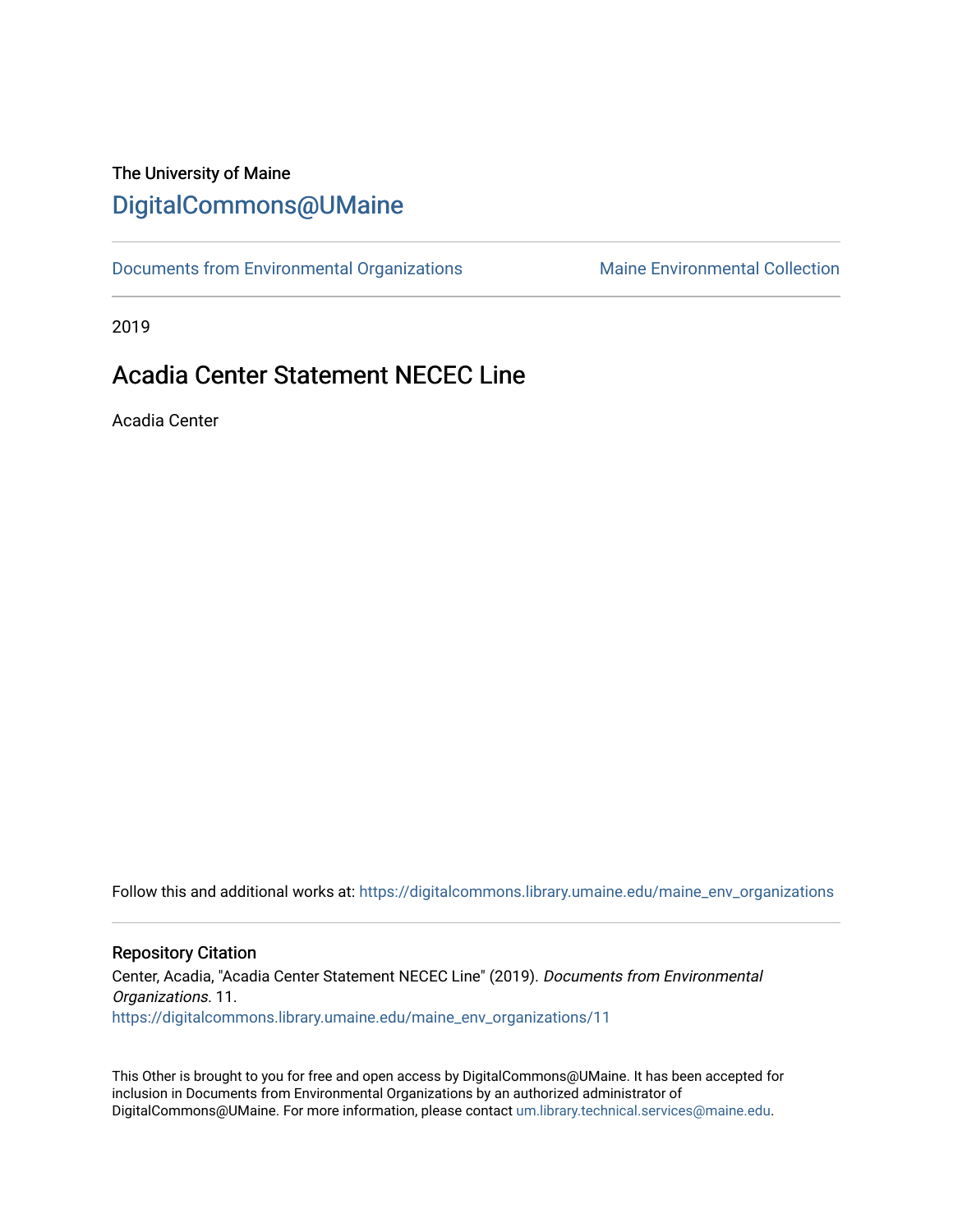## The University of Maine [DigitalCommons@UMaine](https://digitalcommons.library.umaine.edu/)

[Documents from Environmental Organizations](https://digitalcommons.library.umaine.edu/maine_env_organizations) Maine Environmental Collection

2019

## Acadia Center Statement NECEC Line

Acadia Center

Follow this and additional works at: [https://digitalcommons.library.umaine.edu/maine\\_env\\_organizations](https://digitalcommons.library.umaine.edu/maine_env_organizations?utm_source=digitalcommons.library.umaine.edu%2Fmaine_env_organizations%2F11&utm_medium=PDF&utm_campaign=PDFCoverPages)

#### Repository Citation

Center, Acadia, "Acadia Center Statement NECEC Line" (2019). Documents from Environmental Organizations. 11. [https://digitalcommons.library.umaine.edu/maine\\_env\\_organizations/11](https://digitalcommons.library.umaine.edu/maine_env_organizations/11?utm_source=digitalcommons.library.umaine.edu%2Fmaine_env_organizations%2F11&utm_medium=PDF&utm_campaign=PDFCoverPages) 

This Other is brought to you for free and open access by DigitalCommons@UMaine. It has been accepted for inclusion in Documents from Environmental Organizations by an authorized administrator of DigitalCommons@UMaine. For more information, please contact [um.library.technical.services@maine.edu](mailto:um.library.technical.services@maine.edu).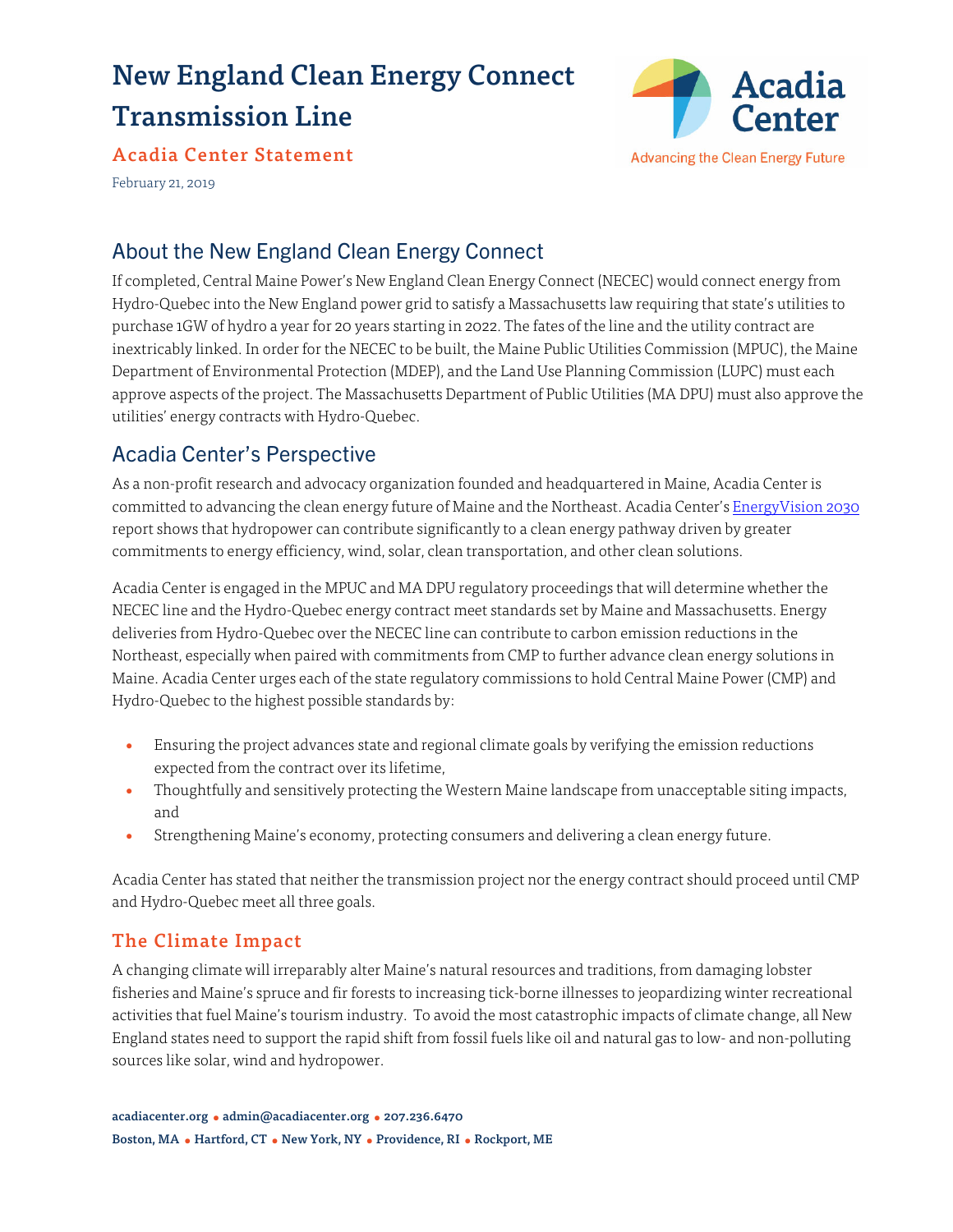# New England Clean Energy Connect Transmission Line



Acadia Center Statement

February 21, 2019

## About the New England Clean Energy Connect

If completed, Central Maine Power's New England Clean Energy Connect (NECEC) would connect energy from Hydro-Quebec into the New England power grid to satisfy a Massachusetts law requiring that state's utilities to purchase 1GW of hydro a year for 20 years starting in 2022. The fates of the line and the utility contract are inextricably linked. In order for the NECEC to be built, the Maine Public Utilities Commission (MPUC), the Maine Department of Environmental Protection (MDEP), and the Land Use Planning Commission (LUPC) must each approve aspects of the project. The Massachusetts Department of Public Utilities (MA DPU) must also approve the utilities' energy contracts with Hydro-Quebec.

## Acadia Center's Perspective

As a non-profit research and advocacy organization founded and headquartered in Maine, Acadia Center is committed to advancing the clean energy future of Maine and the Northeast. Acadia Center's [EnergyVision 2030](http://2030.acadiacenter.org/learn-more/) report shows that hydropower can contribute significantly to a clean energy pathway driven by greater commitments to energy efficiency, wind, solar, clean transportation, and other clean solutions.

Acadia Center is engaged in the MPUC and MA DPU regulatory proceedings that will determine whether the NECEC line and the Hydro-Quebec energy contract meet standards set by Maine and Massachusetts. Energy deliveries from Hydro-Quebec over the NECEC line can contribute to carbon emission reductions in the Northeast, especially when paired with commitments from CMP to further advance clean energy solutions in Maine. Acadia Center urges each of the state regulatory commissions to hold Central Maine Power (CMP) and Hydro-Quebec to the highest possible standards by:

- Ensuring the project advances state and regional climate goals by verifying the emission reductions expected from the contract over its lifetime,
- Thoughtfully and sensitively protecting the Western Maine landscape from unacceptable siting impacts, and
- Strengthening Maine's economy, protecting consumers and delivering a clean energy future.

Acadia Center has stated that neither the transmission project nor the energy contract should proceed until CMP and Hydro-Quebec meet all three goals.

#### The Climate Impact

A changing climate will irreparably alter Maine's natural resources and traditions, from damaging lobster fisheries and Maine's spruce and fir forests to increasing tick-borne illnesses to jeopardizing winter recreational activities that fuel Maine's tourism industry. To avoid the most catastrophic impacts of climate change, all New England states need to support the rapid shift from fossil fuels like oil and natural gas to low- and non-polluting sources like solar, wind and hydropower.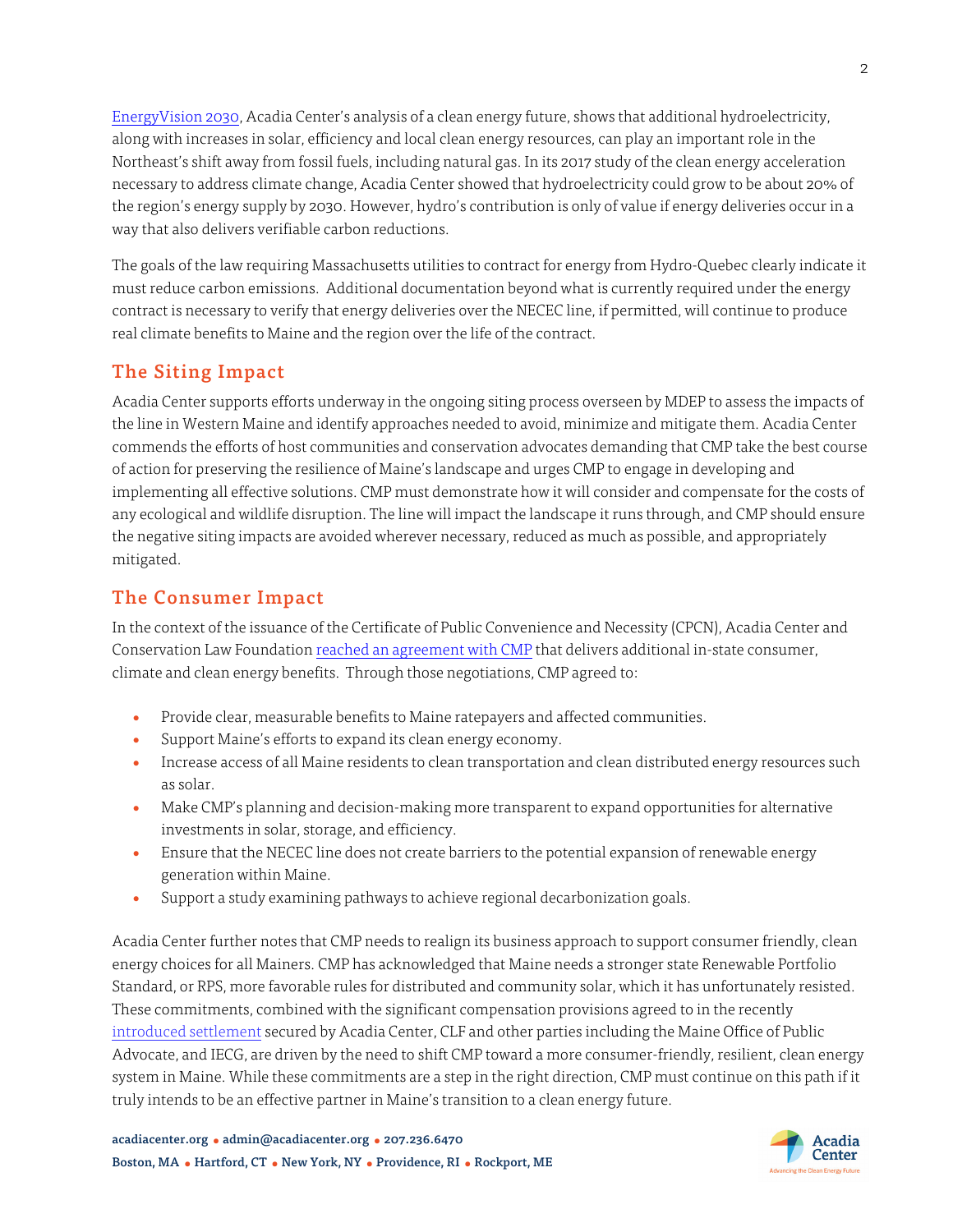[EnergyVision 2030,](http://2030.acadiacenter.org/learn-more/) Acadia Center's analysis of a clean energy future, shows that additional hydroelectricity, along with increases in solar, efficiency and local clean energy resources, can play an important role in the Northeast's shift away from fossil fuels, including natural gas. In its 2017 study of the clean energy acceleration necessary to address climate change, Acadia Center showed that hydroelectricity could grow to be about 20% of the region's energy supply by 2030. However, hydro's contribution is only of value if energy deliveries occur in a way that also delivers verifiable carbon reductions.

The goals of the law requiring Massachusetts utilities to contract for energy from Hydro-Quebec clearly indicate it must reduce carbon emissions. Additional documentation beyond what is currently required under the energy contract is necessary to verify that energy deliveries over the NECEC line, if permitted, will continue to produce real climate benefits to Maine and the region over the life of the contract.

### The Siting Impact

Acadia Center supports efforts underway in the ongoing siting process overseen by MDEP to assess the impacts of the line in Western Maine and identify approaches needed to avoid, minimize and mitigate them. Acadia Center commends the efforts of host communities and conservation advocates demanding that CMP take the best course of action for preserving the resilience of Maine's landscape and urges CMP to engage in developing and implementing all effective solutions. CMP must demonstrate how it will consider and compensate for the costs of any ecological and wildlife disruption. The line will impact the landscape it runs through, and CMP should ensure the negative siting impacts are avoided wherever necessary, reduced as much as possible, and appropriately mitigated.

#### The Consumer Impact

In the context of the issuance of the Certificate of Public Convenience and Necessity (CPCN), Acadia Center and Conservation Law Foundation [reached an agreement with CMP](https://acadiacenter.org/wp-content/uploads/2019/02/CLF-and-Acadia-Center-NECEC-Settlement-MOU-EXECUTED-VERSION-W7100223x7AC2E.pdf) that delivers additional in-state consumer, climate and clean energy benefits. Through those negotiations, CMP agreed to:

- Provide clear, measurable benefits to Maine ratepayers and affected communities.
- Support Maine's efforts to expand its clean energy economy.
- Increase access of all Maine residents to clean transportation and clean distributed energy resources such as solar.
- Make CMP's planning and decision-making more transparent to expand opportunities for alternative investments in solar, storage, and efficiency.
- Ensure that the NECEC line does not create barriers to the potential expansion of renewable energy generation within Maine.
- Support a study examining pathways to achieve regional decarbonization goals.

Acadia Center further notes that CMP needs to realign its business approach to support consumer friendly, clean energy choices for all Mainers. CMP has acknowledged that Maine needs a stronger state Renewable Portfolio Standard, or RPS, more favorable rules for distributed and community solar, which it has unfortunately resisted. These commitments, combined with the significant compensation provisions agreed to in the recently [introduced settlement](http://acadiacenter.org/wp-content/uploads/2019/02/NECEC-CMP-Stipulation.pdf) secured by Acadia Center, CLF and other parties including the Maine Office of Public Advocate, and IECG, are driven by the need to shift CMP toward a more consumer-friendly, resilient, clean energy system in Maine. While these commitments are a step in the right direction, CMP must continue on this path if it truly intends to be an effective partner in Maine's transition to a clean energy future.